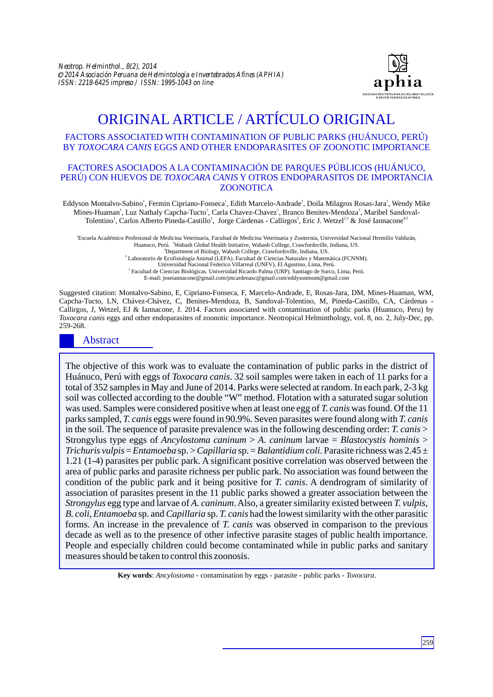

# ORIGINAL ARTICLE / ARTÍCULO ORIGINAL

### FACTORS ASSOCIATED WITH CONTAMINATION OF PUBLIC PARKS (HUÁNUCO, PERÚ) BY *TOXOCARA CANIS* EGGS AND OTHER ENDOPARASITES OF ZOONOTIC IMPORTANCE

#### FACTORES ASOCIADOS A LA CONTAMINACIÓN DE PARQUES PÚBLICOS (HUÁNUCO, PERÚ) CON HUEVOS DE *TOXOCARA CANIS* Y OTROS ENDOPARASITOS DE IMPORTANCIA ZOONOTICA

Eddyson Montalvo-Sabino', Fermin Cipriano-Fonseca', Edith Marcelo-Andrade', Doila Milagros Rosas-Jara', Wendy Mike Mines-Huaman<sup>1</sup>, Luz Nathaly Capcha-Tucto<sup>1</sup>, Carla Chavez-Chavez<sup>1</sup>, Branco Benites-Mendoza<sup>1</sup>, Maribel Sandoval-Tolentino<sup>1</sup>, Carlos Alberto Pineda-Castillo<sup>1</sup>, Jorge Cárdenas - Callirgos<sup>2</sup>, Eric J. Wetzel<sup>2,3</sup> & José Iannacone<sup>4,5</sup>

1 Escuela Académico Profesional de Medicina Veterinaria, Facultad de Medicina Veterinaria y Zootecnia, Universidad Nacional Hermilio Valdizán, Huanuco, Perú. <sup>2</sup> Wabash Global Health Initiative, Wabash College, Crawfordsville, Indiana, US. <sup>3</sup>Department of Biology, Wabash College, Crawfordsville, Indiana, US.

4 Laboratorio de Ecofisiología Animal (LEFA). Facultad de Ciencias Naturales y Matemática (FCNNM).

Universidad Nacional Federico Villarreal (UNFV). El Agustino, Lima, Perú.

5 Facultad de Ciencias Biológicas. Universidad Ricardo Palma (URP). Santiago de Surco, Lima, Perú. E-mail: joseiannacone@gmail.com/jmcardenasc@gmail.com/eddysonmont@gmail.com

Suggested citation: Montalvo-Sabino, E, Cipriano-Fonseca, F, Marcelo-Andrade, E, Rosas-Jara, DM, Mines-Huaman, WM, Capcha-Tucto, LN, Chávez-Chávez, C, Benites-Mendoza, B, Sandoval-Tolentino, M, Pineda-Castillo, CA, Cárdenas - Callirgos, J, Wetzel, EJ & Iannacone, J. 2014. Factors associated with contamination of public parks (Huanuco, Peru) by *Toxocara canis* eggs and other endoparasites of zoonotic importance. Neotropical Helminthology, vol. 8, no. 2, July-Dec, pp. 259-268.

### Abstract

The objective of this work was to evaluate the contamination of public parks in the district of Huánuco, Perú with eggs of *Toxocara canis*. 32 soil samples were taken in each of 11 parks for a total of 352 samples in May and June of 2014. Parks were selected at random. In each park, 2-3 kg soil was collected according to the double "W" method. Flotation with a saturated sugar solution was used. Samples were considered positive when at least one egg of *T. canis* was found. Of the 11 parks sampled, *T. canis* eggs were found in 90.9%. Seven parasites were found along with *T. canis* in the soil. The sequence of parasite prevalence was in the following descending order: *T. canis* > Strongylus type eggs of *Ancylostoma caninum* > *A. caninum* larvae = *Blastocystis hominis* > *Trichuris vulpis* = *Entamoeba* sp. > *Capillaria* sp. = *Balantidium coli*. Parasite richness was 2.45 ± 1.21 (1-4) parasites per public park. A significant positive correlation was observed between the area of public parks and parasite richness per public park. No association was found between the condition of the public park and it being positive for *T. canis*. A dendrogram of similarity of association of parasites present in the 11 public parks showed a greater association between the *Strongylus* egg type and larvae of *A. caninum*. Also, a greater similarity existed between *T. vulpis*, *B. coli*, *Entamoeba* sp. and *Capillaria* sp. *T. canis* had the lowest similarity with the other parasitic forms. An increase in the prevalence of *T. canis* was observed in comparison to the previous decade as well as to the presence of other infective parasite stages of public health importance. People and especially children could become contaminated while in public parks and sanitary measures should be taken to control this zoonosis.

**Key words**: *Ancylostoma* - contamination by eggs - parasite - public parks - *Toxocara*.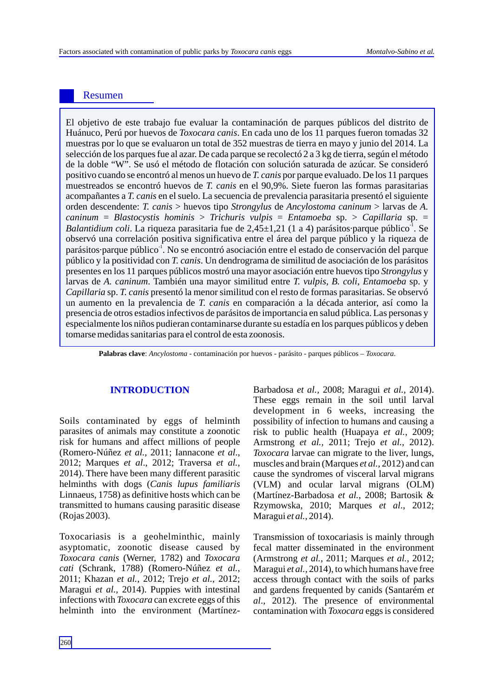# Resumen

El objetivo de este trabajo fue evaluar la contaminación de parques públicos del distrito de Huánuco, Perú por huevos de *Toxocara canis*. En cada uno de los 11 parques fueron tomadas 32 muestras por lo que se evaluaron un total de 352 muestras de tierra en mayo y junio del 2014. La selección de los parques fue al azar. De cada parque se recolectó 2 a 3 kg de tierra, según el método de la doble "W". Se usó el método de flotación con solución saturada de azúcar. Se consideró positivo cuando se encontró al menos un huevo de *T. canis* por parque evaluado. De los 11 parques muestreados se encontró huevos de *T. canis* en el 90,9%. Siete fueron las formas parasitarias acompañantes a *T. canis* en el suelo. La secuencia de prevalencia parasitaria presentó el siguiente orden descendente: *T. canis* > huevos tipo *Strongylus* de *Ancylostoma caninum* > larvas de *A. caninum* = *Blastocystis hominis* > *Trichuris vulpis* = *Entamoeba* sp. > *Capillaria* sp. = Balantidium coli. La riqueza parasitaria fue de 2,45±1,21 (1 a 4) parásitos·parque público<sup>-1</sup>. Se observó una correlación positiva significativa entre el área del parque público y la riqueza de parásitos·parque público<sup>-1</sup>. No se encontró asociación entre el estado de conservación del parque público y la positividad con *T. canis*. Un dendrograma de similitud de asociación de los parásitos presentes en los 11 parques públicos mostró una mayor asociación entre huevos tipo *Strongylus* y larvas de *A. caninum*. También una mayor similitud entre *T. vulpis*, *B. coli*, *Entamoeba* sp. y *Capillaria* sp. *T. canis* presentó la menor similitud con el resto de formas parasitarias. Se observó un aumento en la prevalencia de *T. canis* en comparación a la década anterior, así como la presencia de otros estadios infectivos de parásitos de importancia en salud pública. Las personas y especialmente los niños pudieran contaminarse durante su estadía en los parques públicos y deben tomarse medidas sanitarias para el control de esta zoonosis.

**Palabras clave**: *Ancylostoma* - contaminación por huevos - parásito - parques públicos – *Toxocara*.

Soils contaminated by eggs of helminth parasites of animals may constitute a zoonotic risk for humans and affect millions of people (Romero-Núñez *et al.*, 2011; Iannacone *et al*., 2012; Marques *et al*., 2012; Traversa *et al.*, 2014). There have been many different parasitic helminths with dogs (*Canis lupus familiaris* Linnaeus, 1758) as definitive hosts which can be transmitted to humans causing parasitic disease (Rojas 2003).

Toxocariasis is a geohelminthic, mainly asyptomatic, zoonotic disease caused by *Toxocara canis* (Werner, 1782) and *Toxocara cati* (Schrank, 1788) (Romero-Núñez *et al.*, 2011; Khazan *et al.,* 2012; Trejo *et al.*, 2012; Maragui *et al.,* 2014). Puppies with intestinal infections with *Toxocara* can excrete eggs of this helminth into the environment (Martínez-

**INTRODUCTION** Barbadosa *et al.,* 2008; Maragui *et al.,* 2014). These eggs remain in the soil until larval development in 6 weeks, increasing the possibility of infection to humans and causing a risk to public health (Huapaya *et al.*, 2009; Armstrong *et al.,* 2011; Trejo *et al.*, 2012). *Toxocara* larvae can migrate to the liver, lungs, muscles and brain (Marques *et al.,* 2012) and can cause the syndromes of visceral larval migrans (VLM) and ocular larval migrans (OLM) (Martínez-Barbadosa *et al.*, 2008; Bartosik & Rzymowska, 2010; Marques *et al*., 2012; Maragui *et al.,* 2014).

> Transmission of toxocariasis is mainly through fecal matter disseminated in the environment (Armstrong *et al.*, 2011; Marques *et al.,* 2012; Maragui *et al.,* 2014), to which humans have free access through contact with the soils of parks and gardens frequented by canids (Santarém *et al*., 2012). The presence of environmental contamination with *Toxocara* eggs is considered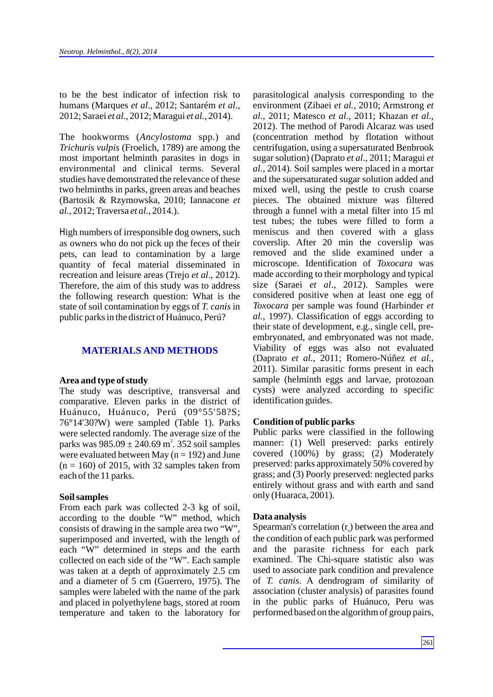to be the best indicator of infection risk to humans (Marques *et al*., 2012; Santarém *et al*., 2012; Saraei *et al.,* 2012; Maragui *et al.,* 2014).

The hookworms (*Ancylostoma* spp.) and *Trichuris vulpis* (Froelich, 1789) are among the most important helminth parasites in dogs in environmental and clinical terms. Several studies have demonstrated the relevance of these two helminths in parks, green areas and beaches (Bartosik & Rzymowska, 2010; Iannacone *et al.*, 2012; Traversa *et al.*, 2014.).

High numbers of irresponsible dog owners, such as owners who do not pick up the feces of their pets, can lead to contamination by a large quantity of fecal material disseminated in recreation and leisure areas (Trejo *et al*., 2012). Therefore, the aim of this study was to address the following research question: What is the state of soil contamination by eggs of *T. canis* in public parks in the district of Huánuco, Perú?

## **MATERIALS AND METHODS**

#### **Area and type of study**

The study was descriptive, transversal and comparative. Eleven parks in the district of Huánuco, Huánuco, Perú (09°55'58?S; 76°14'30?W) were sampled (Table 1). Parks were selected randomly. The average size of the parks was  $985.09 \pm 240.69 \text{ m}^2$ . 352 soil samples were evaluated between May ( $n = 192$ ) and June  $(n = 160)$  of 2015, with 32 samples taken from each of the 11 parks.

#### **Soil samples**

From each park was collected 2-3 kg of soil, according to the double "W" method, which consists of drawing in the sample area two "W", superimposed and inverted, with the length of each "W" determined in steps and the earth collected on each side of the "W". Each sample was taken at a depth of approximately 2.5 cm and a diameter of 5 cm (Guerrero, 1975). The samples were labeled with the name of the park and placed in polyethylene bags, stored at room temperature and taken to the laboratory for parasitological analysis corresponding to the environment (Zibaei *et al.,* 2010; Armstrong *et al*., 2011; Matesco *et al*., 2011; Khazan *et al.,* 2012). The method of Parodi Alcaraz was used (concentration method by flotation without centrifugation, using a supersaturated Benbrook sugar solution) (Daprato *et al*., 2011; Maragui *et al.,* 2014). Soil samples were placed in a mortar and the supersaturated sugar solution added and mixed well, using the pestle to crush coarse pieces. The obtained mixture was filtered through a funnel with a metal filter into 15 ml test tubes; the tubes were filled to form a meniscus and then covered with a glass coverslip. After 20 min the coverslip was removed and the slide examined under a microscope. Identification of *Toxocara* was made according to their morphology and typical size (Saraei *et al*., 2012). Samples were considered positive when at least one egg of *Toxocara* per sample was found (Harbinder *et al.,* 1997). Classification of eggs according to their state of development, e.g., single cell, preembryonated, and embryonated was not made. Viability of eggs was also not evaluated (Daprato *et al.*, 2011; Romero-Núñez *et al.*, 2011). Similar parasitic forms present in each sample (helminth eggs and larvae, protozoan cysts) were analyzed according to specific identification guides.

#### **Condition of public parks**

Public parks were classified in the following manner: (1) Well preserved: parks entirely covered (100%) by grass; (2) Moderately preserved: parks approximately 50% covered by grass; and (3) Poorly preserved: neglected parks entirely without grass and with earth and sand only (Huaraca, 2001).

#### **Data analysis**

Spearman's correlation  $(r<sub>c</sub>)$  between the area and the condition of each public park was performed and the parasite richness for each park examined. The Chi-square statistic also was used to associate park condition and prevalence of *T. canis*. A dendrogram of similarity of association (cluster analysis) of parasites found in the public parks of Huánuco, Peru was performed based on the algorithm of group pairs,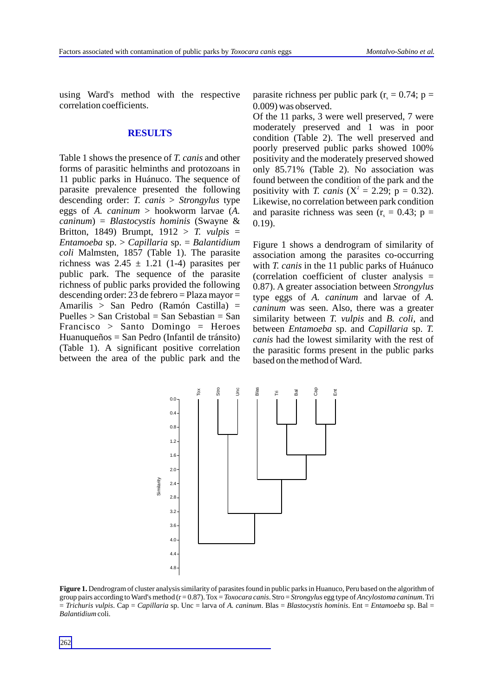using Ward's method with the respective correlation coefficients.

#### **RESULTS**

Table 1 shows the presence of *T. canis* and other forms of parasitic helminths and protozoans in 11 public parks in Huánuco. The sequence of parasite prevalence presented the following descending order: *T. canis* > *Strongylus* type eggs of *A. caninum* > hookworm larvae (*A. caninum*) = *Blastocystis hominis* (Swayne & Britton, 1849) Brumpt, 1912 > *T. vulpis* = *Entamoeba* sp. > *Capillaria* sp. = *Balantidium coli* Malmsten, 1857 (Table 1). The parasite richness was  $2.45 \pm 1.21$  (1-4) parasites per public park. The sequence of the parasite richness of public parks provided the following descending order: 23 de febrero = Plaza mayor = Amarilis > San Pedro (Ramón Castilla) = Puelles  $>$  San Cristobal = San Sebastian = San Francisco > Santo Domingo = Heroes Huanuqueños = San Pedro (Infantil de tránsito) (Table 1). A significant positive correlation between the area of the public park and the parasite richness per public park ( $r_s = 0.74$ ; p = 0.009) was observed.

Of the 11 parks, 3 were well preserved, 7 were moderately preserved and 1 was in poor condition (Table 2). The well preserved and poorly preserved public parks showed 100% positivity and the moderately preserved showed only 85.71% (Table 2). No association was found between the condition of the park and the positivity with *T. canis* ( $X^2 = 2.29$ ; p = 0.32). Likewise, no correlation between park condition and parasite richness was seen  $(r_s = 0.43; p =$ 0.19).

Figure 1 shows a dendrogram of similarity of association among the parasites co-occurring with *T. canis* in the 11 public parks of Huánuco (correlation coefficient of cluster analysis = 0.87). A greater association between *Strongylus* type eggs of *A. caninum* and larvae of *A. caninum* was seen. Also, there was a greater similarity between *T. vulpis* and *B. coli,* and between *Entamoeba* sp. and *Capillaria* sp. *T. canis* had the lowest similarity with the rest of the parasitic forms present in the public parks based on the method of Ward.



**Figure 1.** Dendrogram of cluster analysis similarity of parasites found in public parks in Huanuco, Peru based on the algorithm of group pairs according to Ward's method (r = 0.87). Tox = *Toxocara canis*. Stro = *Strongylus* egg type of *Ancylostoma caninum*. Tri = *Trichuris vulpis*. Cap = *Capillaria* sp. Unc = larva of *A. caninum*. Blas = *Blastocystis hominis*. Ent = *Entamoeba* sp. Bal = *Balantidium* coli.

262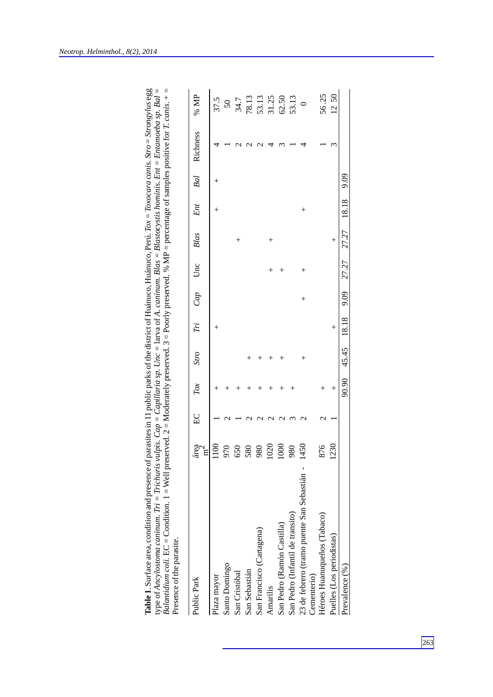| $^{+}$<br>18.18<br>Ent<br>$^{+}$<br>$^{+}$<br>27.27<br>Blas<br>$^{+}$<br>┿<br>27.27<br>Unc<br>$\hspace{0.1mm} +$<br>9.09<br>Cap<br>$^{+}$<br>18.18<br>Fi<br>$^{+}$<br>45.45<br>Stro<br>$\hspace{0.1mm} +$<br>0.90<br>$\overline{I} \overline{O} X$<br>$^{+}$<br>$^{+}$<br>$^+$<br>$^{+}$<br>EC<br>230<br>450<br>876<br>área<br>$\breve{\rm 8}$<br>086<br>≊<br>970<br>550<br>580<br>$\widetilde{\mathrm{g}}$<br>$^{80}$<br>้⊾<br>23 de febrero (tramo puente San Sebastián -<br>San Pedro (Infantil de transito)<br>Héroes Huanuqueños (Tabaco)<br>San Pedro (Ramón Castilla)<br>San Francisco (Cartagena)<br>Puelles (Los periodistas)<br>Santo Domingo<br>Prevalence (%)<br>San Sebastián<br>Cementerio)<br>San Cristóbal<br>Plaza mayor<br>Public Park<br>Amarilis |  |  |  |  |  |      |          |                                                                                  |
|----------------------------------------------------------------------------------------------------------------------------------------------------------------------------------------------------------------------------------------------------------------------------------------------------------------------------------------------------------------------------------------------------------------------------------------------------------------------------------------------------------------------------------------------------------------------------------------------------------------------------------------------------------------------------------------------------------------------------------------------------------------------|--|--|--|--|--|------|----------|----------------------------------------------------------------------------------|
|                                                                                                                                                                                                                                                                                                                                                                                                                                                                                                                                                                                                                                                                                                                                                                      |  |  |  |  |  | Bal  | Richness | % MP                                                                             |
|                                                                                                                                                                                                                                                                                                                                                                                                                                                                                                                                                                                                                                                                                                                                                                      |  |  |  |  |  |      |          | 37.5                                                                             |
|                                                                                                                                                                                                                                                                                                                                                                                                                                                                                                                                                                                                                                                                                                                                                                      |  |  |  |  |  |      |          |                                                                                  |
|                                                                                                                                                                                                                                                                                                                                                                                                                                                                                                                                                                                                                                                                                                                                                                      |  |  |  |  |  |      |          |                                                                                  |
|                                                                                                                                                                                                                                                                                                                                                                                                                                                                                                                                                                                                                                                                                                                                                                      |  |  |  |  |  |      |          | $\begin{array}{c} 50 \\ 34.7 \\ 78.13 \\ 78.13 \\ 53.13 \\ 65.50 \\ \end{array}$ |
|                                                                                                                                                                                                                                                                                                                                                                                                                                                                                                                                                                                                                                                                                                                                                                      |  |  |  |  |  |      |          |                                                                                  |
|                                                                                                                                                                                                                                                                                                                                                                                                                                                                                                                                                                                                                                                                                                                                                                      |  |  |  |  |  |      |          |                                                                                  |
|                                                                                                                                                                                                                                                                                                                                                                                                                                                                                                                                                                                                                                                                                                                                                                      |  |  |  |  |  |      |          |                                                                                  |
|                                                                                                                                                                                                                                                                                                                                                                                                                                                                                                                                                                                                                                                                                                                                                                      |  |  |  |  |  |      |          |                                                                                  |
|                                                                                                                                                                                                                                                                                                                                                                                                                                                                                                                                                                                                                                                                                                                                                                      |  |  |  |  |  |      |          |                                                                                  |
|                                                                                                                                                                                                                                                                                                                                                                                                                                                                                                                                                                                                                                                                                                                                                                      |  |  |  |  |  |      |          |                                                                                  |
|                                                                                                                                                                                                                                                                                                                                                                                                                                                                                                                                                                                                                                                                                                                                                                      |  |  |  |  |  |      |          | 56.25                                                                            |
|                                                                                                                                                                                                                                                                                                                                                                                                                                                                                                                                                                                                                                                                                                                                                                      |  |  |  |  |  |      |          | 1250                                                                             |
|                                                                                                                                                                                                                                                                                                                                                                                                                                                                                                                                                                                                                                                                                                                                                                      |  |  |  |  |  | 9.09 |          |                                                                                  |

| parasites in 11 public parks of the district of Huánuco, Huánuco, Perú. Tox = Toxocara canis. Stro = Strongylus egg | ulpis. Cap = Capillaria sp. Unc = $l$ arva of A. caninum. Blas = Blastocystis hominis. Ent = Entamoeba sp. Bal = | served. $2 =$ Moderately preserved. $3 =$ Poorly preserved. % MP = percentage of samples positive for T. canis. $+$ = |  |
|---------------------------------------------------------------------------------------------------------------------|------------------------------------------------------------------------------------------------------------------|-----------------------------------------------------------------------------------------------------------------------|--|
| ea, condition and presenc.<br>$\sim$                                                                                | e of Ancylostoma caninum. Tri = Trichuris                                                                        | <i>lantidium coli.</i> EC = Condition. $1 =$ Well pres                                                                |  |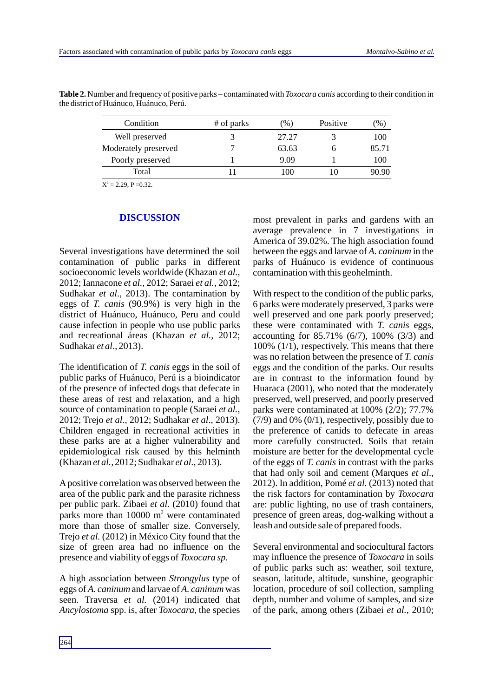| Condition            | # of parks | $\frac{9}{6}$ | Positive | $\%$  |
|----------------------|------------|---------------|----------|-------|
| Well preserved       |            | 27.27         |          | 100   |
| Moderately preserved |            | 63.63         |          | 85.71 |
| Poorly preserved     |            | 9.09          |          | 100   |
| Total                |            | 00            |          | 90.90 |

**Table 2.** Number and frequency of positive parks – contaminated with *Toxocara canis* according to their condition in the district of Huánuco, Huánuco, Perú.

 $X^2 = 2.29$ , P = 0.32.

#### **DISCUSSION**

Several investigations have determined the soil contamination of public parks in different socioeconomic levels worldwide (Khazan *et al.,* 2012; Iannacone *et al.*, 2012; Saraei *et al.,* 2012; Sudhakar *et al*., 2013). The contamination by eggs of *T. canis* (90.9%) is very high in the district of Huánuco, Huánuco, Peru and could cause infection in people who use public parks and recreational áreas (Khazan *et al.,* 2012; Sudhakar *et al*., 2013).

The identification of *T. canis* eggs in the soil of public parks of Huánuco, Perú is a bioindicator of the presence of infected dogs that defecate in these areas of rest and relaxation, and a high source of contamination to people (Saraei *et al.,* 2012; Trejo *et al.*, 2012; Sudhakar *et al*., 2013). Children engaged in recreational activities in these parks are at a higher vulnerability and epidemiological risk caused by this helminth (Khazan *et al.,* 2012; Sudhakar *et al*., 2013).

Apositive correlation was observed between the area of the public park and the parasite richness per public park. Zibaei *et al.* (2010) found that parks more than  $10000 \text{ m}^2$  were contaminated more than those of smaller size. Conversely, Trejo *et al.* (2012) in México City found that the size of green area had no influence on the presence and viability of eggs of *Toxocara sp*.

A high association between *Strongylus* type of eggs of *A. caninum* and larvae of *A. caninum* was seen. Traversa *et al.* (2014) indicated that *Ancylostoma* spp. is, after *Toxocara*, the species most prevalent in parks and gardens with an average prevalence in 7 investigations in America of 39.02%. The high association found between the eggs and larvae of *A. caninum* in the parks of Huánuco is evidence of continuous contamination with this geohelminth.

With respect to the condition of the public parks, 6 parks were moderately preserved, 3 parks were well preserved and one park poorly preserved; these were contaminated with *T. canis* eggs, accounting for 85.71% (6/7), 100% (3/3) and 100% (1/1), respectively. This means that there was no relation between the presence of *T. canis* eggs and the condition of the parks. Our results are in contrast to the information found by Huaraca (2001), who noted that the moderately preserved, well preserved, and poorly preserved parks were contaminated at 100% (2/2); 77.7% (7/9) and 0% (0/1), respectively, possibly due to the preference of canids to defecate in areas more carefully constructed. Soils that retain moisture are better for the developmental cycle of the eggs of *T. canis* in contrast with the parks that had only soil and cement (Marques *et al*., 2012). In addition, Pomé *et al.* (2013) noted that the risk factors for contamination by *Toxocara* are: public lighting, no use of trash containers, presence of green areas, dog-walking without a leash and outside sale of prepared foods.

Several environmental and sociocultural factors may influence the presence of *Toxocara* in soils of public parks such as: weather, soil texture, season, latitude, altitude, sunshine, geographic location, procedure of soil collection, sampling depth, number and volume of samples, and size of the park, among others (Zibaei *et al.*, 2010;

264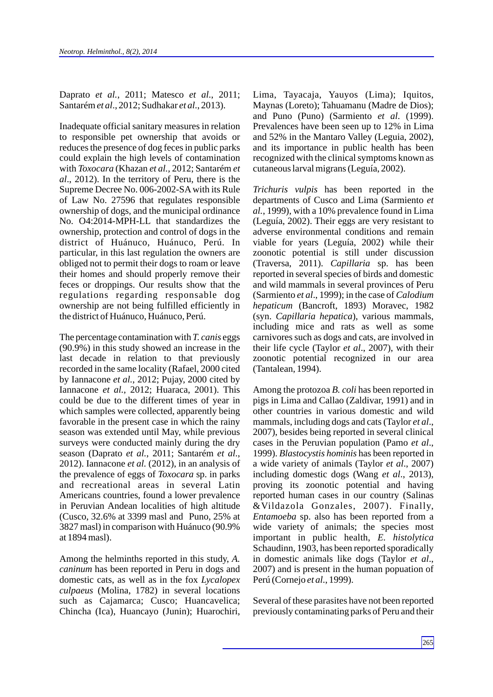Daprato *et al.*, 2011; Matesco *et al*., 2011; Santarém *et al*., 2012; Sudhakar *et al*., 2013).

Inadequate official sanitary measures in relation to responsible pet ownership that avoids or reduces the presence of dog feces in public parks could explain the high levels of contamination with *Toxocara* (Khazan *et al.,* 2012; Santarém *et al*., 2012). In the territory of Peru, there is the Supreme Decree No. 006-2002-SAwith its Rule of Law No. 27596 that regulates responsible ownership of dogs, and the municipal ordinance No. O4:2014-MPH-LL that standardizes the ownership, protection and control of dogs in the district of Huánuco, Huánuco, Perú. In particular, in this last regulation the owners are obliged not to permit their dogs to roam or leave their homes and should properly remove their feces or droppings. Our results show that the regulations regarding responsable dog ownership are not being fulfilled efficiently in the district of Huánuco, Huánuco, Perú.

The percentage contamination with *T. canis* eggs (90.9%) in this study showed an increase in the last decade in relation to that previously recorded in the same locality (Rafael, 2000 cited by Iannacone *et al.*, 2012; Pujay, 2000 cited by Iannacone *et al.*, 2012; Huaraca, 2001). This could be due to the different times of year in which samples were collected, apparently being favorable in the present case in which the rainy season was extended until May, while previous surveys were conducted mainly during the dry season (Daprato *et al.*, 2011; Santarém *et al*., 2012). Iannacone *et al.* (2012), in an analysis of the prevalence of eggs of *Toxocara* sp. in parks and recreational areas in several Latin Americans countries, found a lower prevalence in Peruvian Andean localities of high altitude (Cusco, 32.6% at 3399 masl and Puno, 25% at 3827 masl) in comparison with Huánuco (90.9% at 1894 masl).

Among the helminths reported in this study, *A. caninum* has been reported in Peru in dogs and domestic cats, as well as in the fox *Lycalopex culpaeus* (Molina, 1782) in several locations such as Cajamarca; Cusco; Huancavelica; Chincha (Ica), Huancayo (Junin); Huarochiri, Lima, Tayacaja, Yauyos (Lima); Iquitos, Maynas (Loreto); Tahuamanu (Madre de Dios); and Puno (Puno) (Sarmiento *et al*. (1999). Prevalences have been seen up to 12% in Lima and 52% in the Mantaro Valley (Leguia, 2002), and its importance in public health has been recognized with the clinical symptoms known as cutaneous larval migrans (Leguía, 2002).

*Trichuris vulpis* has been reported in the departments of Cusco and Lima (Sarmiento *et al.*, 1999), with a 10% prevalence found in Lima (Leguía, 2002). Their eggs are very resistant to adverse environmental conditions and remain viable for years (Leguía, 2002) while their zoonotic potential is still under discussion (Traversa, 2011). *Capillaria* sp. has been reported in several species of birds and domestic and wild mammals in several provinces of Peru (Sarmiento *et al*., 1999); in the case of *Calodium hepaticum* (Bancroft, 1893) Moravec, 1982 (syn. *Capillaria hepatica*), various mammals, including mice and rats as well as some carnivores such as dogs and cats, are involved in their life cycle (Taylor *et al*., 2007), with their zoonotic potential recognized in our area (Tantalean, 1994).

Among the protozoa *B. coli* has been reported in pigs in Lima and Callao (Zaldivar, 1991) and in other countries in various domestic and wild mammals, including dogs and cats (Taylor *et al*., 2007), besides being reported in several clinical cases in the Peruvian population (Pamo *et al*., 1999). *Blastocystis hominis* has been reported in a wide variety of animals (Taylor *et al*., 2007) including domestic dogs (Wang *et al*., 2013), proving its zoonotic potential and having reported human cases in our country (Salinas &Vildazola Gonzales, 2007). Finally, *Entamoeba* sp. also has been reported from a wide variety of animals; the species most important in public health, *E. histolytica* Schaudinn, 1903, has been reported sporadically in domestic animals like dogs (Taylor *et al*., 2007) and is present in the human popuation of Perú (Cornejo *et al*., 1999).

Several of these parasites have not been reported previously contaminating parks of Peru and their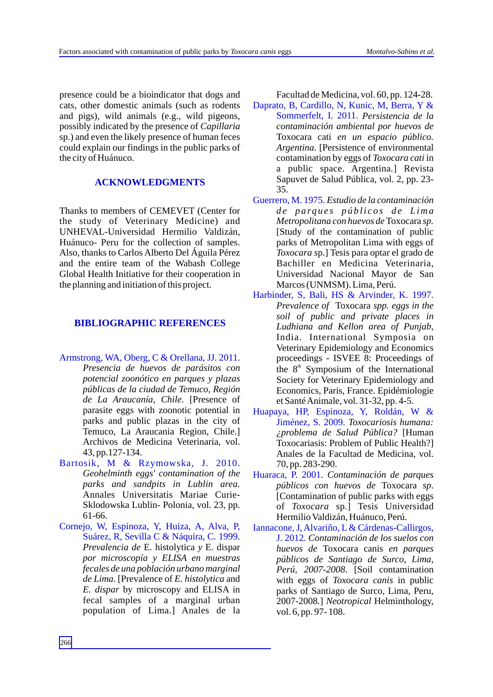presence could be a bioindicator that dogs and cats, other domestic animals (such as rodents and pigs), wild animals (e.g., wild pigeons, possibly indicated by the presence of *Capillaria* sp.) and even the likely presence of human feces could explain our findings in the public parks of the city of Huánuco.

# **ACKNOWLEDGMENTS**

Thanks to members of CEMEVET (Center for the study of Veterinary Medicine) and UNHEVAL-Universidad Hermilio Valdizán, Huánuco- Peru for the collection of samples. Also, thanks to Carlos Alberto Del Águila Pérez and the entire team of the Wabash College Global Health Initiative for their cooperation in the planning and initiation of this project.

# **BIBLIOGRAPHIC REFERENCES**

- Armstrong, WA, Oberg, C & Orellana, JJ. 2011. *Presencia de huevos de parásitos con potencial zoonótico en parques y plazas públicas de la ciudad de Temuco, Región de La Araucanía, Chile*. [Presence of parasite eggs with zoonotic potential in parks and public plazas in the city of Temuco, La Araucania Region, Chile.] Archivos de Medicina Veterinaria, vol. 43, pp.127-134.
- Bartosik, M & Rzymowska, J. 2010. *Geohelminth eggs' contamination of the parks and sandpits in Lublin area.* Annales Universitatis Mariae Curie-Sklodowska Lublin- Polonia, vol. 23, pp. 61-66.
- Cornejo, W, Espinoza, Y, Huiza, A, Alva, P, Suárez, R, Sevilla C & Náquira, C*.* 1999. *Prevalencia de* E. histolytica *y* E. dispar *por microscopía y ELISA en muestras fecales de una población urbano marginal de Lima*. [Prevalence of *E. histolytica* and *E. dispar* by microscopy and ELISA in fecal samples of a marginal urban population of Lima.] Anales de la

Facultad de Medicina, vol. 60, pp. 124-28.

- *Persistencia de la*  Sommerfelt, I. 2011. *contaminación ambiental por huevos de*  Toxocara cati *en un espacio público. Argentina.* [Persistence of environmental contamination by eggs of *Toxocara cati* in a public space. Argentina*.*] Revista Sapuvet de Salud Pública, vol. 2, pp. 23- 35. Daprato, B, Cardillo, N, Kunic, M, Berra, Y &
- *Estudio de la contaminación* Guerrero, M. 1975. *d e p a rq u e s p ú b li c o s d e Lima Metropolitana con huevos de* Toxocara *sp.* [Study of the contamination of public parks of Metropolitan Lima with eggs of *Toxocara s*p.] Tesis para optar el grado de Bachiller en Medicina Veterinaria, Universidad Nacional Mayor de San Marcos (UNMSM). Lima, Perú.
- *Prevalence of* Toxocara *spp. eggs in the soil of public and private places in Ludhiana and Kellon area of Punjab*, India. International Symposia on Veterinary Epidemiology and Economics proceedings - ISVEE 8: Proceedings of the  $8<sup>th</sup>$  Symposium of the International Society for Veterinary Epidemiology and Economics, Paris, France. Epidémiologie et Santé Animale, vol. 31-32, pp. 4-5. Harbinder, S, Bali, HS & Arvinder, K. 1997.
- *Toxocariosis humana:*  Jiménez, S. 2009. *¿problema de Salud Pública?* [Human Toxocariasis: Problem of Public Health?] Anales de la Facultad de Medicina, vol. 70, pp. 283-290. Huapaya, HP, Espinoza, Y, Roldán, W &
- *Contaminación de parques*  Huaraca, P. 2001. *públicos con huevos de* Toxocara *sp*. [Contamination of public parks with eggs of *Toxocara* sp*.*] Tesis Universidad Hermilio Valdizán, Huánuco, Perú.
- *Contaminación de los suelos con*  J. 2012*. huevos de* Toxocara canis *en parques públicos de Santiago de Surco, Lima, Perú, 2007-2008*. [Soil contamination with eggs of *Toxocara canis* in public parks of Santiago de Surco, Lima, Peru, 2007-2008*.*] *Neotropical* Helminthology, vol. 6, pp. 97- 108. Iannacone, J, Alvariño, L& Cárdenas-Callirgos,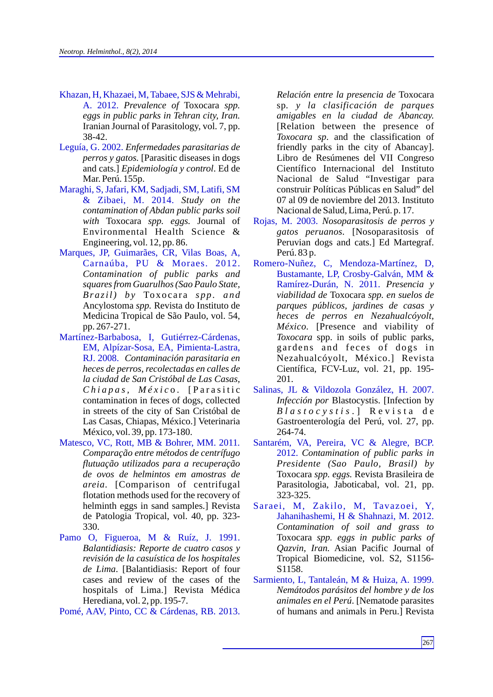- Khazan, H, Khazaei, M, Tabaee, SJS & Mehrabi, A. 2012. *Prevalence of* Toxocara *spp. eggs in public parks in Tehran city, Iran.*  Iranian Journal of Parasitology, vol. 7, pp. 38-42.
- Leguía, G. 2002. *Enfermedades parasitarias de perros y gatos.* [Parasitic diseases in dogs and cats.] *Epidemiología y control*. Ed de Mar. Perú. 155p.
- Maraghi, S, Jafari, KM, Sadjadi, SM, Latifi, SM & Zibaei, M. 2014. *Study on the contamination of Abdan public parks soil with* Toxocara *spp. eggs.* Journal of Environmental Health Science & Engineering, vol. 12, pp. 86.
- Marques, JP, Guimarães, CR, Vilas Boas, A, Carnaúba, PU & Moraes. 2012. *Contamination of public parks and squares from Guarulhos (Sao Paulo State, Brazil*) *by* Toxocara *spp. and* Ancylostoma *spp.* Revista do Instituto de Medicina Tropical de São Paulo, vol. 54, pp. 267-271.
- Martínez-Barbabosa, I, Gutiérrez-Cárdenas, EM, Alpízar-Sosa, EA, Pimienta-Lastra, RJ. 2008. *Contaminación parasitaria en heces de perros, recolectadas en calles de la ciudad de San Cristóbal de Las Casas, C h i a p a s, M é x i c* o . [ P a r a si t i c contamination in feces of dogs, collected in streets of the city of San Cristóbal de Las Casas, Chiapas, México.] Veterinaria México, vol. 39, pp. 173-180.
- Matesco, VC, Rott, MB & Bohrer, MM. 2011*. Comparação entre métodos de centrífugo flutuação utilizados para a recuperação de ovos de helmintos em amostras de areia.* [Comparison of centrifugal flotation methods used for the recovery of helminth eggs in sand samples.] Revista de Patologia Tropical, vol. 40, pp. 323- 330.
- Pamo O, Figueroa, M & Ruíz, J. 1991. *Balantidiasis: Reporte de cuatro casos y revisión de la casuística de los hospitales de Lima*. [Balantidiasis: Report of four cases and review of the cases of the hospitals of Lima.] Revista Médica Herediana, vol. 2, pp. 195-7.

Pomé, AAV, Pinto, CC & Cárdenas, RB. 2013.

*Relación entre la presencia de* Toxocara sp*. y la clasificación de parques amigables en la ciudad de Abancay.* [Relation between the presence of *Toxocara sp*. and the classification of friendly parks in the city of Abancay]. Libro de Resúmenes del VII Congreso Científico Internacional del Instituto Nacional de Salud "Investigar para construir Políticas Públicas en Salud" del 07 al 09 de noviembre del 2013. Instituto Nacional de Salud, Lima, Perú. p. 17.

- *Nosoparasitosis de perros y*  Rojas, M. 2003. *gatos peruanos.* [Nosoparasitosis of Peruvian dogs and cats.] Ed Martegraf. Perú. 83 p.
- *Presencia y*  Ramírez-Durán, N. 2011. *viabilidad de* Toxocara *spp. en suelos de parques públicos, jardines de casas y heces de perros en Nezahualcóyolt, México.* [Presence and viability of *Toxocara* spp. in soils of public parks, gardens and feces of dogs in Nezahualcóyolt, México.] Revista Científica, FCV-Luz, vol. 21, pp. 195- 201. Romero-Nuñez, C, Mendoza-Martínez, D, Bustamante, LP, Crosby-Galván, MM &
- *Infección por* Blastocystis. [Infection by *B l a s t o c y s t i s* . ] R e v i s t a d e Gastroenterología del Perú, vol. 27, pp. 264-74. Salinas, JL & Vildozola González, H. 2007.
- *Contamination of public parks in*  2012. *Presidente (Sao Paulo, Brasil) by* Toxocara *spp. eggs.* Revista Brasileira de Parasitologia, Jaboticabal, vol. 21, pp. 323-325. Santarém, VA, Pereira, VC & Alegre, BCP.
- *Contamination of soil and grass to*  Toxocara *spp. eggs in public parks of Qazvin, Iran.* Asian Pacific Journal of Tropical Biomedicine, vol. S2, S1156- S1158. Saraei, M, Zakilo, M, Tavazoei, Y, Jahanihashemi, H & Shahnazi, M. 2012.
- *Nemátodos parásitos del hombre y de los animales en el Perú*. [Nematode parasites of humans and animals in Peru.] Revista Sarmiento, L, Tantaleán, M & Huiza, A. 1999.